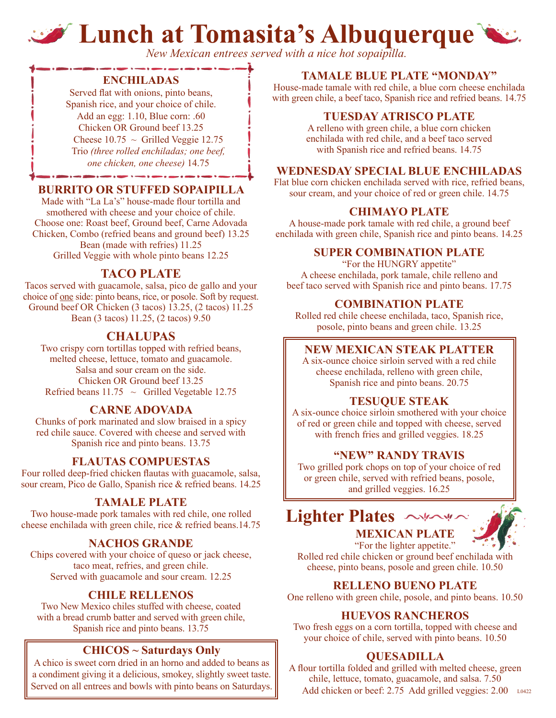# **Lunch at Tomasita's Albuquerque**

*New Mexican entrees served with a nice hot sopaipilla.*

#### **ENCHILADAS**

Served flat with onions, pinto beans, Spanish rice, and your choice of chile. Add an egg: 1.10, Blue corn: .60 Chicken OR Ground beef 13.25 Cheese  $10.75 \sim$  Grilled Veggie 12.75 Trio *(three rolled enchiladas; one beef, one chicken, one cheese)* 14.75

#### **BURRITO OR STUFFED SOPAIPILLA**

Made with "La La's" house-made flour tortilla and smothered with cheese and your choice of chile. Choose one: Roast beef, Ground beef, Carne Adovada Chicken, Combo (refried beans and ground beef) 13.25 Bean (made with refries) 11.25 Grilled Veggie with whole pinto beans 12.25

## **TACO PLATE**

Tacos served with guacamole, salsa, pico de gallo and your choice of one side: pinto beans, rice, or posole. Soft by request. Ground beef OR Chicken (3 tacos) 13.25, (2 tacos) 11.25 Bean (3 tacos) 11.25, (2 tacos) 9.50

# **CHALUPAS**

Two crispy corn tortillas topped with refried beans, melted cheese, lettuce, tomato and guacamole. Salsa and sour cream on the side. Chicken OR Ground beef 13.25 Refried beans  $11.75 \sim$  Grilled Vegetable 12.75

## **CARNE ADOVADA**

Chunks of pork marinated and slow braised in a spicy red chile sauce. Covered with cheese and served with Spanish rice and pinto beans. 13.75

## **FLAUTAS COMPUESTAS**

Four rolled deep-fried chicken flautas with guacamole, salsa, sour cream, Pico de Gallo, Spanish rice & refried beans. 14.25

#### **TAMALE PLATE**

Two house-made pork tamales with red chile, one rolled cheese enchilada with green chile, rice & refried beans.14.75

#### **NACHOS GRANDE**

Chips covered with your choice of queso or jack cheese, taco meat, refries, and green chile. Served with guacamole and sour cream. 12.25

#### **CHILE RELLENOS**

Two New Mexico chiles stuffed with cheese, coated with a bread crumb batter and served with green chile, Spanish rice and pinto beans. 13.75

#### **CHICOS ~ Saturdays Only**

A chico is sweet corn dried in an horno and added to beans as a condiment giving it a delicious, smokey, slightly sweet taste.

#### **TAMALE BLUE PLATE "MONDAY"**

House-made tamale with red chile, a blue corn cheese enchilada with green chile, a beef taco, Spanish rice and refried beans. 14.75

#### **TUESDAY ATRISCO PLATE**

A relleno with green chile, a blue corn chicken enchilada with red chile, and a beef taco served with Spanish rice and refried beans. 14.75

#### **WEDNESDAY SPECIAL BLUE ENCHILADAS**

Flat blue corn chicken enchilada served with rice, refried beans, sour cream, and your choice of red or green chile. 14.75

#### **CHIMAYO PLATE**

A house-made pork tamale with red chile, a ground beef enchilada with green chile, Spanish rice and pinto beans. 14.25

#### **SUPER COMBINATION PLATE**

"For the HUNGRY appetite" A cheese enchilada, pork tamale, chile relleno and beef taco served with Spanish rice and pinto beans. 17.75

#### **COMBINATION PLATE**

Rolled red chile cheese enchilada, taco, Spanish rice, posole, pinto beans and green chile. 13.25

#### **NEW MEXICAN STEAK PLATTER**

A six-ounce choice sirloin served with a red chile cheese enchilada, relleno with green chile, Spanish rice and pinto beans. 20.75

#### **TESUQUE STEAK**

A six-ounce choice sirloin smothered with your choice of red or green chile and topped with cheese, served with french fries and grilled veggies. 18.25

#### **"NEW" RANDY TRAVIS**

Two grilled pork chops on top of your choice of red or green chile, served with refried beans, posole, and grilled veggies. 16.25





"For the lighter appetite." Rolled red chile chicken or ground beef enchilada with cheese, pinto beans, posole and green chile. 10.50

#### **RELLENO BUENO PLATE**

One relleno with green chile, posole, and pinto beans. 10.50

#### **HUEVOS RANCHEROS**

Two fresh eggs on a corn tortilla, topped with cheese and your choice of chile, served with pinto beans. 10.50

#### **QUESADILLA**

A flour tortilla folded and grilled with melted cheese, green chile, lettuce, tomato, guacamole, and salsa. 7.50 Served on all entrees and bowls with pinto beans on Saturdays. Add chicken or beef: 2.75 Add grilled veggies: 2.00 L0422